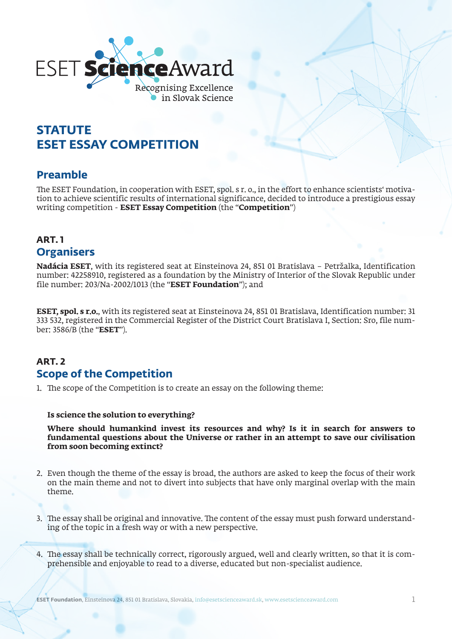

# **STATUTE ESET ESSAY COMPETITION**

### **Preamble**

The ESET Foundation, in cooperation with ESET, spol. s r. o., in the effort to enhance scientists' motivation to achieve scientific results of international significance, decided to introduce a prestigious essay writing competition - **ESET Essay Competition** (the "**Competition**")

### **ART. 1 Organisers**

**Nadácia ESET**, with its registered seat at Einsteinova 24, 851 01 Bratislava – Petržalka, Identification number: 42258910, registered as a foundation by the Ministry of Interior of the Slovak Republic under file number: 203/Na-2002/1013 (the "**ESET Foundation**"); and

**ESET, spol. s r.o.**, with its registered seat at Einsteinova 24, 851 01 Bratislava, Identification number: 31 333 532, registered in the Commercial Register of the District Court Bratislava I, Section: Sro, file number: 3586/B (the "**ESET**").

# **ART. 2 Scope of the Competition**

1. The scope of the Competition is to create an essay on the following theme:

#### **Is science the solution to everything?**

**Where should humankind invest its resources and why? Is it in search for answers to fundamental questions about the Universe or rather in an attempt to save our civilisation from soon becoming extinct?**

- 2. Even though the theme of the essay is broad, the authors are asked to keep the focus of their work on the main theme and not to divert into subjects that have only marginal overlap with the main theme.
- 3. The essay shall be original and innovative. The content of the essay must push forward understanding of the topic in a fresh way or with a new perspective.
- 4. The essay shall be technically correct, rigorously argued, well and clearly written, so that it is comprehensible and enjoyable to read to a diverse, educated but non-specialist audience.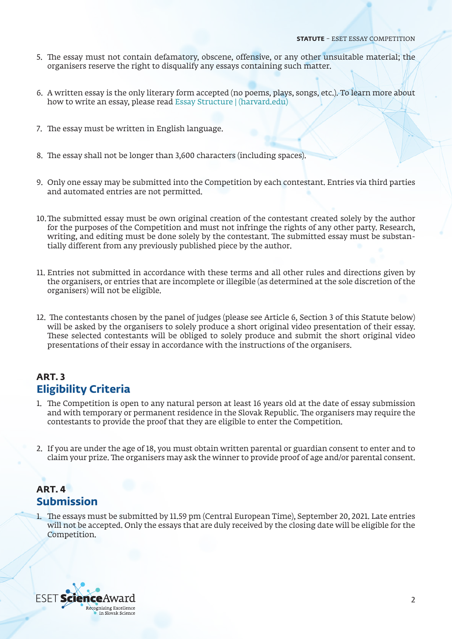- 5. The essay must not contain defamatory, obscene, offensive, or any other unsuitable material; the organisers reserve the right to disqualify any essays containing such matter.
- 6. A written essay is the only literary form accepted (no poems, plays, songs, etc.). To learn more about how to write an essay, please read [Essay Structure | \(harvard.edu\)](https://writingcenter.fas.harvard.edu/pages/essay-structure)
- 7. The essay must be written in English language.
- 8. The essay shall not be longer than 3,600 characters (including spaces).
- 9. Only one essay may be submitted into the Competition by each contestant. Entries via third parties and automated entries are not permitted.
- 10.The submitted essay must be own original creation of the contestant created solely by the author for the purposes of the Competition and must not infringe the rights of any other party. Research, writing, and editing must be done solely by the contestant. The submitted essay must be substantially different from any previously published piece by the author.
- 11. Entries not submitted in accordance with these terms and all other rules and directions given by the organisers, or entries that are incomplete or illegible (as determined at the sole discretion of the organisers) will not be eligible.
- 12. The contestants chosen by the panel of judges (please see Article 6, Section 3 of this Statute below) will be asked by the organisers to solely produce a short original video presentation of their essay. These selected contestants will be obliged to solely produce and submit the short original video presentations of their essay in accordance with the instructions of the organisers.

#### **ART. 3 Eligibility Criteria**

- 1. The Competition is open to any natural person at least 16 years old at the date of essay submission and with temporary or permanent residence in the Slovak Republic. The organisers may require the contestants to provide the proof that they are eligible to enter the Competition.
- 2. If you are under the age of 18, you must obtain written parental or guardian consent to enter and to claim your prize. The organisers may ask the winner to provide proof of age and/or parental consent.

#### **ART. 4 Submission**

1. The essays must be submitted by 11.59 pm (Central European Time), September 20, 2021. Late entries will not be accepted. Only the essays that are duly received by the closing date will be eligible for the Competition.

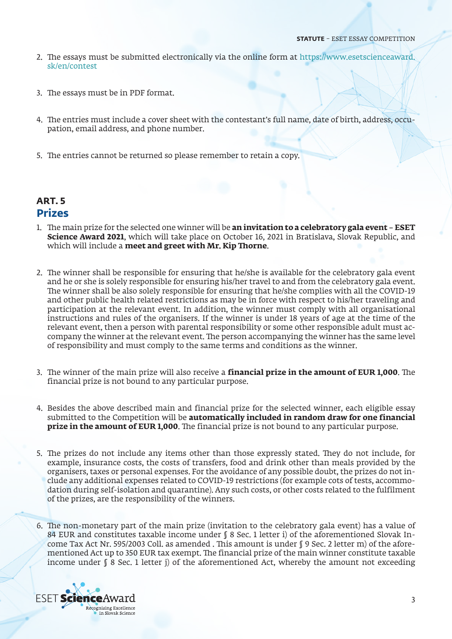- 2. The essays must be submitted electronically via the online form at [https://www.esetscienceaward.](https://www.esetscienceaward.sk/en/contest) [sk/en/contest](https://www.esetscienceaward.sk/en/contest)
- 3. The essays must be in PDF format.
- 4. The entries must include a cover sheet with the contestant's full name, date of birth, address, occupation, email address, and phone number.
- 5. The entries cannot be returned so please remember to retain a copy.

#### **ART. 5 Prizes**

- 1. The main prize for the selected one winner will be **an invitation to a celebratory gala event ESET Science Award 2021**, which will take place on October 16, 2021 in Bratislava, Slovak Republic, and which will include a **meet and greet with Mr. Kip Thorne**.
- 2. The winner shall be responsible for ensuring that he/she is available for the celebratory gala event and he or she is solely responsible for ensuring his/her travel to and from the celebratory gala event. The winner shall be also solely responsible for ensuring that he/she complies with all the COVID-19 and other public health related restrictions as may be in force with respect to his/her traveling and participation at the relevant event. In addition, the winner must comply with all organisational instructions and rules of the organisers. If the winner is under 18 years of age at the time of the relevant event, then a person with parental responsibility or some other responsible adult must accompany the winner at the relevant event. The person accompanying the winner has the same level of responsibility and must comply to the same terms and conditions as the winner.
- 3. The winner of the main prize will also receive a **financial prize in the amount of EUR 1,000**. The financial prize is not bound to any particular purpose.
- 4. Besides the above described main and financial prize for the selected winner, each eligible essay submitted to the Competition will be **automatically included in random draw for one financial prize in the amount of EUR 1,000**. The financial prize is not bound to any particular purpose.
- 5. The prizes do not include any items other than those expressly stated. They do not include, for example, insurance costs, the costs of transfers, food and drink other than meals provided by the organisers, taxes or personal expenses. For the avoidance of any possible doubt, the prizes do not include any additional expenses related to COVID-19 restrictions (for example cots of tests, accommodation during self-isolation and quarantine). Any such costs, or other costs related to the fulfilment of the prizes, are the responsibility of the winners.
- 6. The non-monetary part of the main prize (invitation to the celebratory gala event) has a value of 84 EUR and constitutes taxable income under § 8 Sec. 1 letter i) of the aforementioned Slovak Income Tax Act Nr. 595/2003 Coll. as amended . This amount is under § 9 Sec. 2 letter m) of the aforementioned Act up to 350 EUR tax exempt. The financial prize of the main winner constitute taxable income under § 8 Sec. 1 letter j) of the aforementioned Act, whereby the amount not exceeding

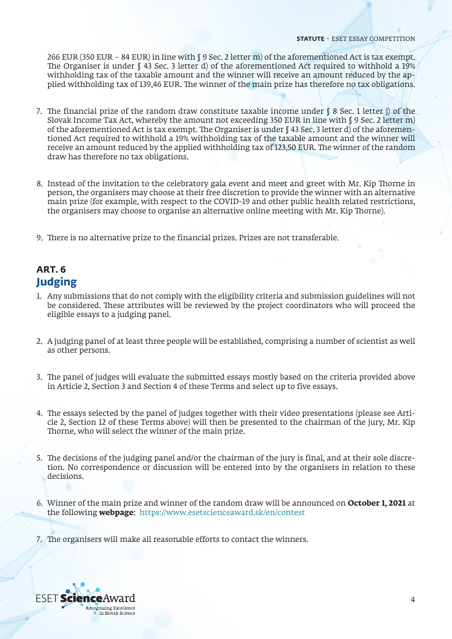266 EUR (350 EUR – 84 EUR) in line with  $\lceil$  9 Sec. 2 letter m) of the aforementioned Act is tax exempt. The Organiser is under  $\int$  43 Sec. 3 letter d) of the aforementioned Act required to withhold a 19% withholding tax of the taxable amount and the winner will receive an amount reduced by the applied withholding tax of 139,46 EUR. The winner of the main prize has therefore no tax obligations.

- 7. The financial prize of the random draw constitute taxable income under  $\beta$  8 Sec. 1 letter j) of the Slovak Income Tax Act, whereby the amount not exceeding 350 EUR in line with § 9 Sec. 2 letter m) of the aforementioned Act is tax exempt. The Organiser is under § 43 Sec. 3 letter d) of the aforementioned Act required to withhold a 19% withholding tax of the taxable amount and the winner will receive an amount reduced by the applied withholding tax of 123,50 EUR. The winner of the random draw has therefore no tax obligations.
- 8. Instead of the invitation to the celebratory gala event and meet and greet with Mr. Kip Thorne in person, the organisers may choose at their free discretion to provide the winner with an alternative main prize (for example, with respect to the COVID-19 and other public health related restrictions, the organisers may choose to organise an alternative online meeting with Mr. Kip Thorne).
- 9. There is no alternative prize to the financial prizes. Prizes are not transferable.

# **ART. 6 Judging**

- 1. Any submissions that do not comply with the eligibility criteria and submission guidelines will not be considered. These attributes will be reviewed by the project coordinators who will proceed the eligible essays to a judging panel.
- 2. A judging panel of at least three people will be established, comprising a number of scientist as well as other persons.
- 3. The panel of judges will evaluate the submitted essays mostly based on the criteria provided above in Article 2, Section 3 and Section 4 of these Terms and select up to five essays.
- 4. The essays selected by the panel of judges together with their video presentations (please see Article 2, Section 12 of these Terms above) will then be presented to the chairman of the jury, Mr. Kip Thorne, who will select the winner of the main prize.
- 5. The decisions of the judging panel and/or the chairman of the jury is final, and at their sole discretion. No correspondence or discussion will be entered into by the organisers in relation to these decisions.
- 6. Winner of the main prize and winner of the random draw will be announced on **October 1, 2021** at the following **webpage**: <https://www.esetscienceaward.sk/en/contest>
- 7. The organisers will make all reasonable efforts to contact the winners.

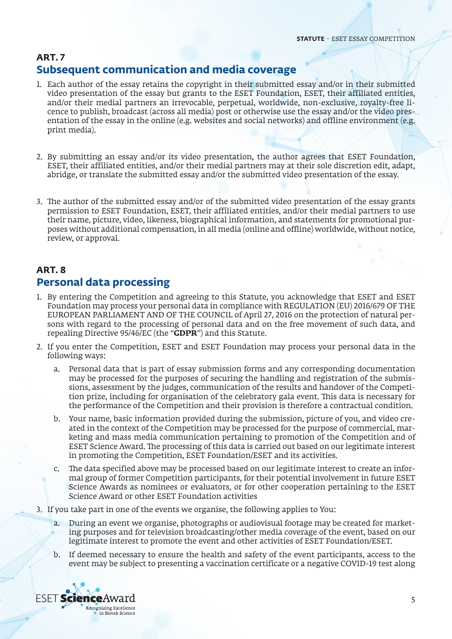#### **ART. 7 Subsequent communication and media coverage**

- 1. Each author of the essay retains the copyright in their submitted essay and/or in their submitted video presentation of the essay but grants to the ESET Foundation, ESET, their affiliated entities, and/or their medial partners an irrevocable, perpetual, worldwide, non-exclusive, royalty-free licence to publish, broadcast (across all media) post or otherwise use the essay and/or the video presentation of the essay in the online (e.g. websites and social networks) and offline environment (e.g. print media).
- 2. By submitting an essay and/or its video presentation, the author agrees that ESET Foundation, ESET, their affiliated entities, and/or their medial partners may at their sole discretion edit, adapt, abridge, or translate the submitted essay and/or the submitted video presentation of the essay.
- 3. The author of the submitted essay and/or of the submitted video presentation of the essay grants permission to ESET Foundation, ESET, their affiliated entities, and/or their medial partners to use their name, picture, video, likeness, biographical information, and statements for promotional purposes without additional compensation, in all media (online and offline) worldwide, without notice, review, or approval.

## **ART. 8 Personal data processing**

- 1. By entering the Competition and agreeing to this Statute, you acknowledge that ESET and ESET Foundation may process your personal data in compliance with REGULATION (EU) 2016/679 OF THE EUROPEAN PARLIAMENT AND OF THE COUNCIL of April 27, 2016 on the protection of natural persons with regard to the processing of personal data and on the free movement of such data, and repealing Directive 95/46/EC (the "**GDPR**") and this Statute.
- 2. If you enter the Competition, ESET and ESET Foundation may process your personal data in the following ways:
	- a. Personal data that is part of essay submission forms and any corresponding documentation may be processed for the purposes of securing the handling and registration of the submissions, assessment by the judges, communication of the results and handover of the Competition prize, including for organisation of the celebratory gala event. This data is necessary for the performance of the Competition and their provision is therefore a contractual condition.
	- b. Your name, basic information provided during the submission, picture of you, and video created in the context of the Competition may be processed for the purpose of commercial, marketing and mass media communication pertaining to promotion of the Competition and of ESET Science Award. The processing of this data is carried out based on our legitimate interest in promoting the Competition, ESET Foundation/ESET and its activities.
	- c. The data specified above may be processed based on our legitimate interest to create an informal group of former Competition participants, for their potential involvement in future ESET Science Awards as nominees or evaluators, or for other cooperation pertaining to the ESET Science Award or other ESET Foundation activities
- 3. If you take part in one of the events we organise, the following applies to You:
	- a. During an event we organise, photographs or audiovisual footage may be created for marketing purposes and for television broadcasting/other media coverage of the event, based on our legitimate interest to promote the event and other activities of ESET Foundation/ESET.
	- b. If deemed necessary to ensure the health and safety of the event participants, access to the event may be subject to presenting a vaccination certificate or a negative COVID-19 test along

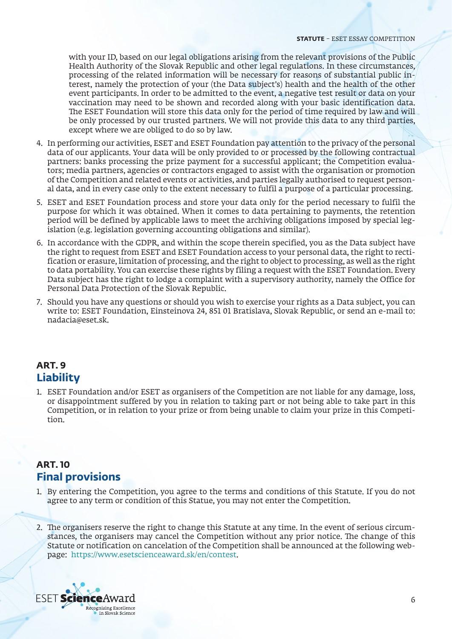with your ID, based on our legal obligations arising from the relevant provisions of the Public Health Authority of the Slovak Republic and other legal regulations. In these circumstances, processing of the related information will be necessary for reasons of substantial public interest, namely the protection of your (the Data subject's) health and the health of the other event participants. In order to be admitted to the event, a negative test result or data on your vaccination may need to be shown and recorded along with your basic identification data. The ESET Foundation will store this data only for the period of time required by law and will be only processed by our trusted partners. We will not provide this data to any third parties, except where we are obliged to do so by law.

- 4. In performing our activities, ESET and ESET Foundation pay attention to the privacy of the personal data of our applicants. Your data will be only provided to or processed by the following contractual partners: banks processing the prize payment for a successful applicant; the Competition evaluators; media partners, agencies or contractors engaged to assist with the organisation or promotion of the Competition and related events or activities, and parties legally authorised to request personal data, and in every case only to the extent necessary to fulfil a purpose of a particular processing.
- 5. ESET and ESET Foundation process and store your data only for the period necessary to fulfil the purpose for which it was obtained. When it comes to data pertaining to payments, the retention period will be defined by applicable laws to meet the archiving obligations imposed by special legislation (e.g. legislation governing accounting obligations and similar).
- 6. In accordance with the GDPR, and within the scope therein specified, you as the Data subject have the right to request from ESET and ESET Foundation access to your personal data, the right to rectification or erasure, limitation of processing, and the right to object to processing, as well as the right to data portability. You can exercise these rights by filing a request with the ESET Foundation. Every Data subject has the right to lodge a complaint with a supervisory authority, namely the Office for Personal Data Protection of the Slovak Republic.
- 7. Should you have any questions or should you wish to exercise your rights as a Data subject, you can write to: ESET Foundation, Einsteinova 24, 851 01 Bratislava, Slovak Republic, or send an e-mail to: nadacia@eset.sk.

#### **ART. 9 Liability**

1. ESET Foundation and/or ESET as organisers of the Competition are not liable for any damage, loss, or disappointment suffered by you in relation to taking part or not being able to take part in this Competition, or in relation to your prize or from being unable to claim your prize in this Competition.

### **ART. 10 Final provisions**

- 1. By entering the Competition, you agree to the terms and conditions of this Statute. If you do not agree to any term or condition of this Statue, you may not enter the Competition.
- 2. The organisers reserve the right to change this Statute at any time. In the event of serious circumstances, the organisers may cancel the Competition without any prior notice. The change of this Statute or notification on cancelation of the Competition shall be announced at the following webpage: [https://www.esetscienceaward.sk/en/contest.](https://www.esetscienceaward.sk/en/contest)